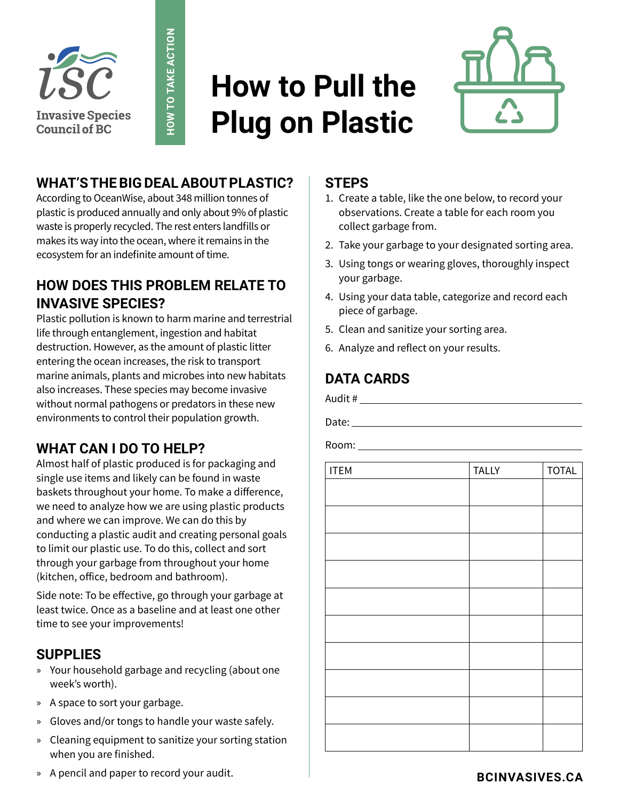

# **How to Pull the Plug on Plastic**



### **WHAT'S THE BIG DEAL ABOUT PLASTIC?**

**HOW TO TAKE ACTION**

HOW TO TAKE ACTION

According to OceanWise, about 348 million tonnes of plastic is produced annually and only about 9% of plastic waste is properly recycled. The rest enters landfills or makes its way into the ocean, where it remains in the ecosystem for an indefinite amount of time.

#### **HOW DOES THIS PROBLEM RELATE TO INVASIVE SPECIES?**

Plastic pollution is known to harm marine and terrestrial life through entanglement, ingestion and habitat destruction. However, as the amount of plastic litter entering the ocean increases, the risk to transport marine animals, plants and microbes into new habitats also increases. These species may become invasive without normal pathogens or predators in these new environments to control their population growth.

## **WHAT CAN I DO TO HELP?**

Almost half of plastic produced is for packaging and single use items and likely can be found in waste baskets throughout your home. To make a difference, we need to analyze how we are using plastic products and where we can improve. We can do this by conducting a plastic audit and creating personal goals to limit our plastic use. To do this, collect and sort through your garbage from throughout your home (kitchen, office, bedroom and bathroom).

Side note: To be effective, go through your garbage at least twice. Once as a baseline and at least one other time to see your improvements!

#### **SUPPLIES**

- » Your household garbage and recycling (about one week's worth).
- » A space to sort your garbage.
- » Gloves and/or tongs to handle your waste safely.
- » Cleaning equipment to sanitize your sorting station when you are finished.
- » A pencil and paper to record your audit.

#### **STEPS**

- 1. Create a table, like the one below, to record your observations. Create a table for each room you collect garbage from.
- 2. Take your garbage to your designated sorting area.
- 3. Using tongs or wearing gloves, thoroughly inspect your garbage.
- 4. Using your data table, categorize and record each piece of garbage.
- 5. Clean and sanitize your sorting area.
- 6. Analyze and reflect on your results.

# **DATA CARDS**

Audit #

Date:

Room:

| <b>ITEM</b> | <b>TALLY</b> | <b>TOTAL</b> |
|-------------|--------------|--------------|
|             |              |              |
|             |              |              |
|             |              |              |
|             |              |              |
|             |              |              |
|             |              |              |
|             |              |              |
|             |              |              |
|             |              |              |
|             |              |              |
|             |              |              |
|             |              |              |
|             |              |              |
|             |              |              |
|             |              |              |
|             |              |              |